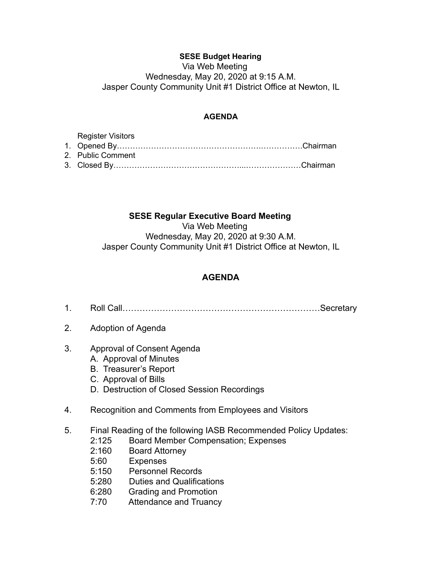## **SESE Budget Hearing**

Via Web Meeting Wednesday, May 20, 2020 at 9:15 A.M. Jasper County Community Unit #1 District Office at Newton, IL

## **AGENDA**

| Register Visitors |  |
|-------------------|--|
|                   |  |
| 2. Public Comment |  |
|                   |  |

## **SESE Regular Executive Board Meeting**

Via Web Meeting Wednesday, May 20, 2020 at 9:30 A.M. Jasper County Community Unit #1 District Office at Newton, IL

## **AGENDA**

- 1. Roll Call……………………………………………………………Secretary
- 2. Adoption of Agenda
- 3. Approval of Consent Agenda
	- A. Approval of Minutes
	- B. Treasurer's Report
	- C. Approval of Bills
	- D. Destruction of Closed Session Recordings
- 4. Recognition and Comments from Employees and Visitors
- 5. Final Reading of the following IASB Recommended Policy Updates:
	- 2:125 Board Member Compensation; Expenses
	- 2:160 Board Attorney
	- 5:60 Expenses
	- 5:150 Personnel Records
	- 5:280 Duties and Qualifications
	- 6:280 Grading and Promotion
	- 7:70 Attendance and Truancy